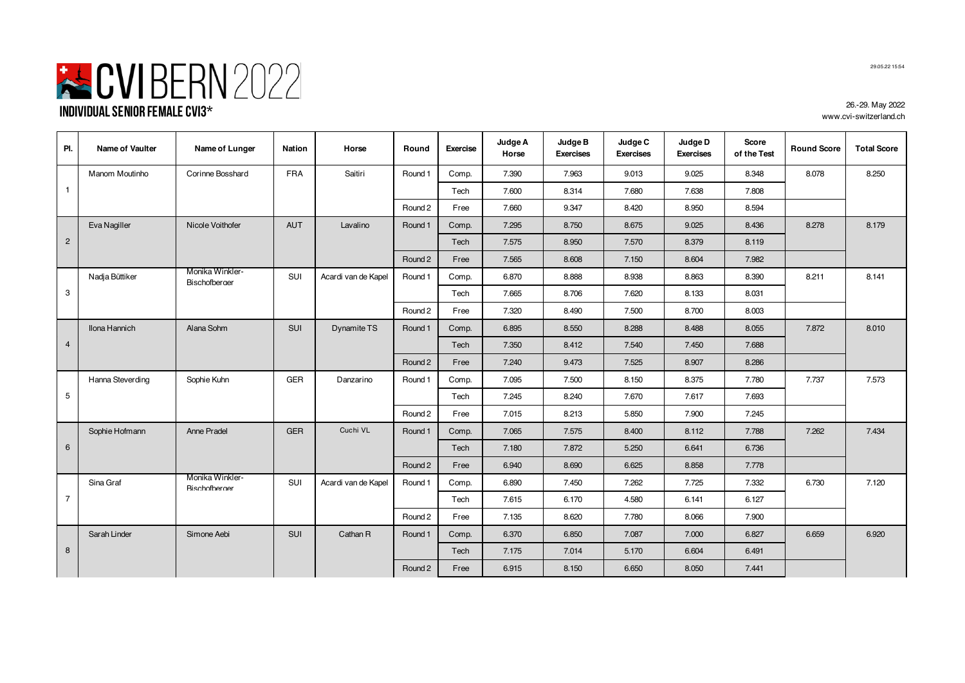

| PI.            | <b>Name of Vaulter</b> | Name of Lunger                          | <b>Nation</b> | Horse               | Round   | <b>Exercise</b> | Judge A<br>Horse | Judge B<br><b>Exercises</b> | Judge C<br><b>Exercises</b> | Judge D<br><b>Exercises</b> | Score<br>of the Test | <b>Round Score</b> | <b>Total Score</b> |
|----------------|------------------------|-----------------------------------------|---------------|---------------------|---------|-----------------|------------------|-----------------------------|-----------------------------|-----------------------------|----------------------|--------------------|--------------------|
|                | Manom Moutinho         | Corinne Bosshard                        | <b>FRA</b>    | Saitiri             | Round 1 | Comp.           | 7.390            | 7.963                       | 9.013                       | 9.025                       | 8.348                | 8.078              | 8.250              |
| $\overline{1}$ |                        |                                         |               |                     |         | Tech            | 7.600            | 8.314                       | 7.680                       | 7.638                       | 7.808                |                    |                    |
|                |                        |                                         |               |                     | Round 2 | Free            | 7.660            | 9.347                       | 8.420                       | 8.950                       | 8.594                |                    |                    |
|                | Eva Nagiller           | Nicole Voithofer                        | <b>AUT</b>    | Lavalino            | Round 1 | Comp.           | 7.295            | 8.750                       | 8.675                       | 9.025                       | 8.436                | 8.278              | 8.179              |
| $\overline{2}$ |                        |                                         |               |                     |         | Tech            | 7.575            | 8.950                       | 7.570                       | 8.379                       | 8.119                |                    |                    |
|                |                        |                                         |               |                     | Round 2 | Free            | 7.565            | 8.608                       | 7.150                       | 8.604                       | 7.982                |                    |                    |
|                | Nadja Büttiker         | Monika Winkler-<br><b>Rischofberger</b> | SUI           | Acardi van de Kapel | Round 1 | Comp.           | 6.870            | 8.888                       | 8.938                       | 8.863                       | 8.390                | 8.211              | 8.141              |
| 3              |                        |                                         |               |                     |         | Tech            | 7.665            | 8.706                       | 7.620                       | 8.133                       | 8.031                |                    |                    |
|                |                        |                                         |               |                     | Round 2 | Free            | 7.320            | 8.490                       | 7.500                       | 8.700                       | 8.003                |                    |                    |
|                | <b>Ilona Hannich</b>   | Alana Sohm                              | SUI           | Dynamite TS         | Round 1 | Comp.           | 6.895            | 8.550                       | 8.288                       | 8.488                       | 8.055                | 7.872              | 8.010              |
| $\overline{4}$ |                        |                                         |               |                     |         | Tech            | 7.350            | 8.412                       | 7.540                       | 7.450                       | 7.688                |                    |                    |
|                |                        |                                         |               |                     | Round 2 | Free            | 7.240            | 9.473                       | 7.525                       | 8.907                       | 8.286                |                    |                    |
|                | Hanna Steverding       | Sophie Kuhn                             | GER           | Danzarino           | Round 1 | Comp.           | 7.095            | 7.500                       | 8.150                       | 8.375                       | 7.780                | 7.737              | 7.573              |
| 5              |                        |                                         |               |                     |         | Tech            | 7.245            | 8.240                       | 7.670                       | 7.617                       | 7.693                |                    |                    |
|                |                        |                                         |               |                     | Round 2 | Free            | 7.015            | 8.213                       | 5.850                       | 7.900                       | 7.245                |                    |                    |
|                | Sophie Hofmann         | Anne Pradel                             | <b>GER</b>    | Cuchi VL            | Round 1 | Comp.           | 7.065            | 7.575                       | 8.400                       | 8.112                       | 7.788                | 7.262              | 7.434              |
| 6              |                        |                                         |               |                     |         | Tech            | 7.180            | 7.872                       | 5.250                       | 6.641                       | 6.736                |                    |                    |
|                |                        |                                         |               |                     | Round 2 | Free            | 6.940            | 8.690                       | 6.625                       | 8.858                       | 7.778                |                    |                    |
|                | Sina Graf              | Monika Winkler-<br><b>Rischofberger</b> | SUI           | Acardi van de Kapel | Round 1 | Comp.           | 6.890            | 7.450                       | 7.262                       | 7.725                       | 7.332                | 6.730              | 7.120              |
| $\overline{7}$ |                        |                                         |               |                     |         | Tech            | 7.615            | 6.170                       | 4.580                       | 6.141                       | 6.127                |                    |                    |
|                |                        |                                         |               |                     | Round 2 | Free            | 7.135            | 8.620                       | 7.780                       | 8.066                       | 7.900                |                    |                    |
|                | Sarah Linder           | Simone Aebi                             | SUI           | Cathan R            | Round 1 | Comp.           | 6.370            | 6.850                       | 7.087                       | 7.000                       | 6.827                | 6.659              | 6.920              |
| 8              |                        |                                         |               |                     |         | Tech            | 7.175            | 7.014                       | 5.170                       | 6.604                       | 6.491                |                    |                    |
|                |                        |                                         |               |                     | Round 2 | Free            | 6.915            | 8.150                       | 6.650                       | 8.050                       | 7.441                |                    |                    |

29.05.22 15:54

26.-29. May 2022 www.cvi-switzerland.ch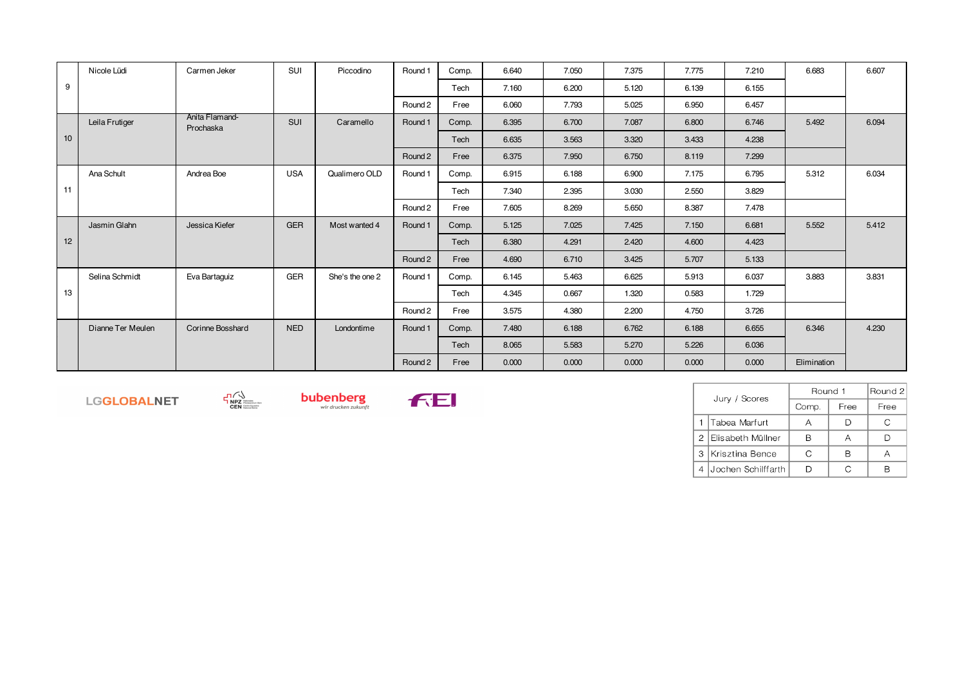|                 | Nicole Lüdi       | Carmen Jeker                | <b>SUI</b> | Piccodino       | Round 1 | Comp. | 6.640 | 7.050 | 7.375 | 7.775 | 7.210 | 6.683       | 6.607 |
|-----------------|-------------------|-----------------------------|------------|-----------------|---------|-------|-------|-------|-------|-------|-------|-------------|-------|
| 9               |                   |                             |            |                 |         | Tech  | 7.160 | 6.200 | 5.120 | 6.139 | 6.155 |             |       |
|                 |                   |                             |            |                 | Round 2 | Free  | 6.060 | 7.793 | 5.025 | 6.950 | 6.457 |             |       |
|                 | Leila Frutiger    | Anita Flamand-<br>Prochaska | <b>SUI</b> | Caramello       | Round 1 | Comp. | 6.395 | 6.700 | 7.087 | 6.800 | 6.746 | 5.492       | 6.094 |
| 10 <sup>1</sup> |                   |                             |            |                 |         | Tech  | 6.635 | 3.563 | 3.320 | 3.433 | 4.238 |             |       |
|                 |                   |                             |            |                 | Round 2 | Free  | 6.375 | 7.950 | 6.750 | 8.119 | 7.299 |             |       |
|                 | Ana Schult        | Andrea Boe                  | <b>USA</b> | Qualimero OLD   | Round 1 | Comp. | 6.915 | 6.188 | 6.900 | 7.175 | 6.795 | 5.312       | 6.034 |
| 11              |                   |                             |            |                 |         | Tech  | 7.340 | 2.395 | 3.030 | 2.550 | 3.829 |             |       |
|                 |                   |                             |            |                 | Round 2 | Free  | 7.605 | 8.269 | 5.650 | 8.387 | 7.478 |             |       |
|                 | Jasmin Glahn      | Jessica Kiefer              | <b>GER</b> | Most wanted 4   | Round 1 | Comp. | 5.125 | 7.025 | 7.425 | 7.150 | 6.681 | 5.552       | 5.412 |
| 12 <sup>2</sup> |                   |                             |            |                 |         | Tech  | 6.380 | 4.291 | 2.420 | 4.600 | 4.423 |             |       |
|                 |                   |                             |            |                 | Round 2 | Free  | 4.690 | 6.710 | 3.425 | 5.707 | 5.133 |             |       |
|                 | Selina Schmidt    | Eva Bartaguiz               | <b>GER</b> | She's the one 2 | Round 1 | Comp. | 6.145 | 5.463 | 6.625 | 5.913 | 6.037 | 3.883       | 3.831 |
| 13              |                   |                             |            |                 |         | Tech  | 4.345 | 0.667 | 1.320 | 0.583 | 1.729 |             |       |
|                 |                   |                             |            |                 | Round 2 | Free  | 3.575 | 4.380 | 2.200 | 4.750 | 3.726 |             |       |
|                 | Dianne Ter Meulen | Corinne Bosshard            | <b>NED</b> | Londontime      | Round 1 | Comp. | 7.480 | 6.188 | 6.762 | 6.188 | 6.655 | 6.346       | 4.230 |
|                 |                   |                             |            |                 |         | Tech  | 8.065 | 5.583 | 5.270 | 5.226 | 6.036 |             |       |
|                 |                   |                             |            |                 | Round 2 | Free  | 0.000 | 0.000 | 0.000 | 0.000 | 0.000 | Elimination |       |

LGGLOBALNET





|   | Jury / Scores       | Round 1 | Round 2 |      |
|---|---------------------|---------|---------|------|
|   |                     | Comp.   | Free    | Free |
|   | Tabea Marfurt       |         |         |      |
|   | 2 Elisabeth Müllner |         |         |      |
| 3 | Krisztina Bence     |         |         |      |
|   | Jochen Schilffarth  |         |         |      |